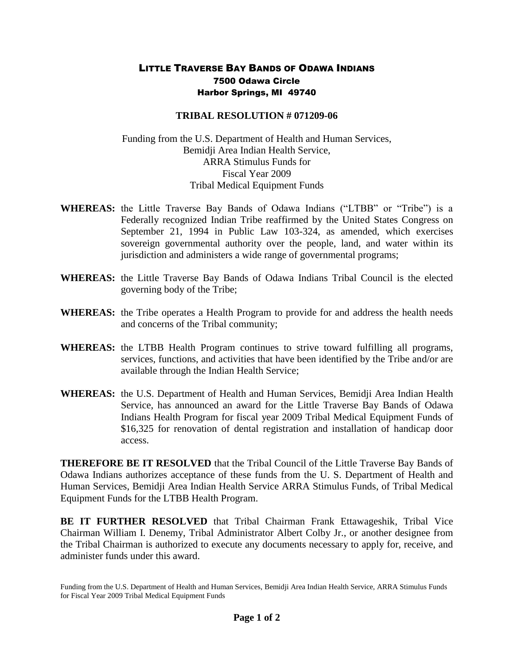## LITTLE TRAVERSE BAY BANDS OF ODAWA INDIANS 7500 Odawa Circle Harbor Springs, MI 49740

## **TRIBAL RESOLUTION # 071209-06**

Funding from the U.S. Department of Health and Human Services, Bemidji Area Indian Health Service, ARRA Stimulus Funds for Fiscal Year 2009 Tribal Medical Equipment Funds

- **WHEREAS:** the Little Traverse Bay Bands of Odawa Indians ("LTBB" or "Tribe") is a Federally recognized Indian Tribe reaffirmed by the United States Congress on September 21, 1994 in Public Law 103-324, as amended, which exercises sovereign governmental authority over the people, land, and water within its jurisdiction and administers a wide range of governmental programs;
- **WHEREAS:** the Little Traverse Bay Bands of Odawa Indians Tribal Council is the elected governing body of the Tribe;
- **WHEREAS:** the Tribe operates a Health Program to provide for and address the health needs and concerns of the Tribal community;
- **WHEREAS:** the LTBB Health Program continues to strive toward fulfilling all programs, services, functions, and activities that have been identified by the Tribe and/or are available through the Indian Health Service;
- **WHEREAS:** the U.S. Department of Health and Human Services, Bemidji Area Indian Health Service, has announced an award for the Little Traverse Bay Bands of Odawa Indians Health Program for fiscal year 2009 Tribal Medical Equipment Funds of \$16,325 for renovation of dental registration and installation of handicap door access.

**THEREFORE BE IT RESOLVED** that the Tribal Council of the Little Traverse Bay Bands of Odawa Indians authorizes acceptance of these funds from the U. S. Department of Health and Human Services, Bemidji Area Indian Health Service ARRA Stimulus Funds, of Tribal Medical Equipment Funds for the LTBB Health Program.

**BE IT FURTHER RESOLVED** that Tribal Chairman Frank Ettawageshik, Tribal Vice Chairman William I. Denemy, Tribal Administrator Albert Colby Jr., or another designee from the Tribal Chairman is authorized to execute any documents necessary to apply for, receive, and administer funds under this award.

Funding from the U.S. Department of Health and Human Services, Bemidji Area Indian Health Service, ARRA Stimulus Funds for Fiscal Year 2009 Tribal Medical Equipment Funds